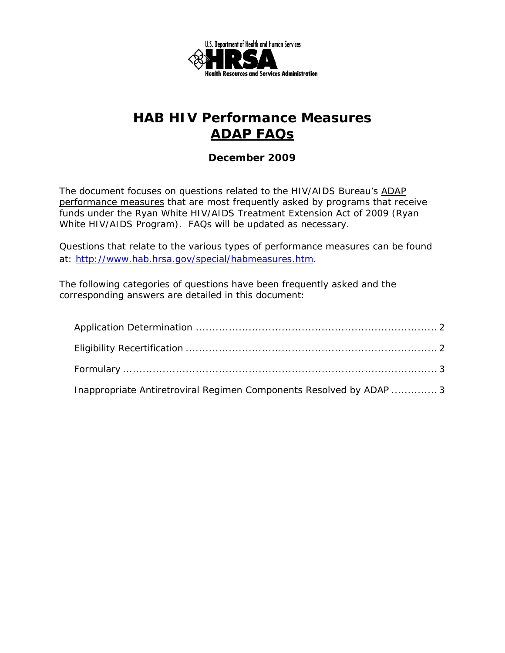

### *December 2009*

The document focuses on questions related to the HIV/AIDS Bureau's ADAP performance measures that are most frequently asked by programs that receive funds under the Ryan White HIV/AIDS Treatment Extension Act of 2009 (Ryan White HIV/AIDS Program). FAQs will be updated as necessary.

Questions that relate to the various types of performance measures can be found at: http://www.hab.hrsa.gov/special/habmeasures.htm.

The following categories of questions have been frequently asked and the corresponding answers are detailed in this document:

| Inappropriate Antiretroviral Regimen Components Resolved by ADAP  3 |  |
|---------------------------------------------------------------------|--|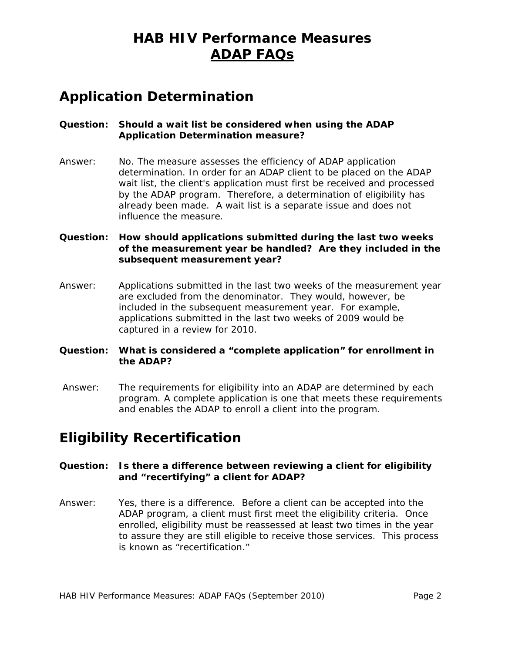## **Application Determination**

### **Question: Should a wait list be considered when using the ADAP Application Determination measure?**

Answer: No. The measure assesses the efficiency of ADAP application determination. In order for an ADAP client to be placed on the ADAP wait list, the client's application must first be received and processed by the ADAP program. Therefore, a determination of eligibility has already been made. A wait list is a separate issue and does not influence the measure.

### **Question: How should applications submitted during the last two weeks of the measurement year be handled? Are they included in the subsequent measurement year?**

Answer: Applications submitted in the last two weeks of the measurement year are excluded from the denominator. They would, however, be included in the subsequent measurement year. For example, applications submitted in the last two weeks of 2009 would be captured in a review for 2010.

### **Question: What is considered a "complete application" for enrollment in the ADAP?**

 Answer: The requirements for eligibility into an ADAP are determined by each program. A complete application is one that meets these requirements and enables the ADAP to enroll a client into the program.

# **Eligibility Recertification**

### **Question: Is there a difference between reviewing a client for eligibility and "recertifying" a client for ADAP?**

Answer: Yes, there is a difference. Before a client can be accepted into the ADAP program, a client must first meet the eligibility criteria. Once enrolled, eligibility must be reassessed at least two times in the year to assure they are still eligible to receive those services. This process is known as "recertification."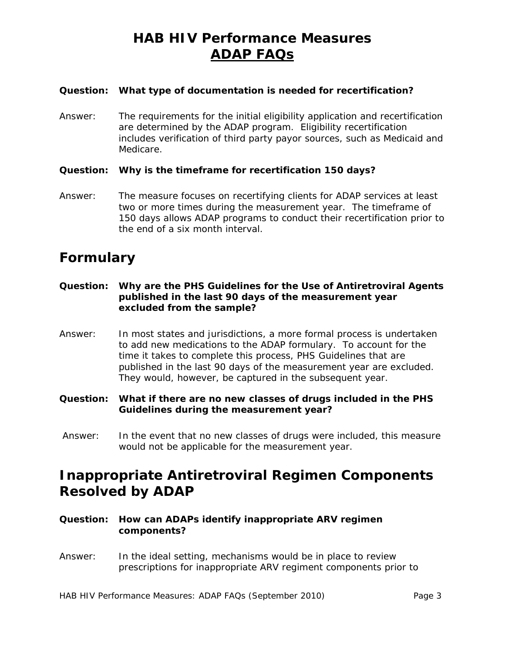#### **Question: What type of documentation is needed for recertification?**

Answer: The requirements for the initial eligibility application and recertification are determined by the ADAP program. Eligibility recertification includes verification of third party payor sources, such as Medicaid and Medicare.

#### **Question: Why is the timeframe for recertification 150 days?**

Answer: The measure focuses on recertifying clients for ADAP services at least two or more times during the measurement year. The timeframe of 150 days allows ADAP programs to conduct their recertification prior to the end of a six month interval.

### **Formulary**

- **Question: Why are the PHS Guidelines for the Use of Antiretroviral Agents published in the last 90 days of the measurement year excluded from the sample?**
- Answer: In most states and jurisdictions, a more formal process is undertaken to add new medications to the ADAP formulary. To account for the time it takes to complete this process, PHS Guidelines that are published in the last 90 days of the measurement year are excluded. They would, however, be captured in the subsequent year.
- **Question: What if there are no new classes of drugs included in the PHS Guidelines during the measurement year?**
- Answer: In the event that no new classes of drugs were included, this measure would not be applicable for the measurement year.

# **Inappropriate Antiretroviral Regimen Components Resolved by ADAP**

- **Question: How can ADAPs identify inappropriate ARV regimen components?**
- Answer: In the ideal setting, mechanisms would be in place to review prescriptions for inappropriate ARV regiment components prior to

HAB HIV Performance Measures: ADAP FAQs (September 2010) The Same 3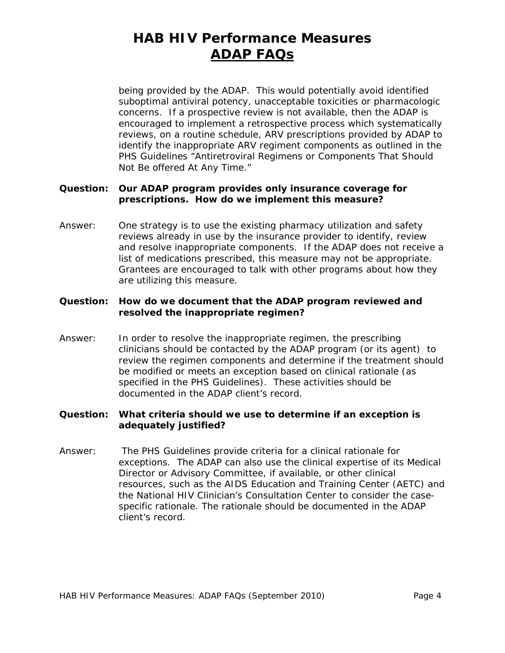being provided by the ADAP. This would potentially avoid identified suboptimal antiviral potency, unacceptable toxicities or pharmacologic concerns. If a prospective review is not available, then the ADAP is encouraged to implement a retrospective process which systematically reviews, on a routine schedule, ARV prescriptions provided by ADAP to identify the inappropriate ARV regiment components as outlined in the PHS Guidelines "Antiretroviral Regimens or Components That Should Not Be offered At Any Time."

### **Question: Our ADAP program provides only insurance coverage for prescriptions. How do we implement this measure?**

Answer: One strategy is to use the existing pharmacy utilization and safety reviews already in use by the insurance provider to identify, review and resolve inappropriate components. If the ADAP does not receive a list of medications prescribed, this measure may not be appropriate. Grantees are encouraged to talk with other programs about how they are utilizing this measure.

#### **Question: How do we document that the ADAP program reviewed and resolved the inappropriate regimen?**

 clinicians should be contacted by the ADAP program (or its agent) to Answer: In order to resolve the inappropriate regimen, the prescribing review the regimen components and determine if the treatment should be modified or meets an exception based on clinical rationale (as specified in the PHS Guidelines). These activities should be documented in the ADAP client's record.

#### **Question: What criteria should we use to determine if an exception is adequately justified?**

Answer: The PHS Guidelines provide criteria for a clinical rationale for exceptions. The ADAP can also use the clinical expertise of its Medical Director or Advisory Committee, if available, or other clinical resources, such as the AIDS Education and Training Center (AETC) and the National HIV Clinician's Consultation Center to consider the casespecific rationale. The rationale should be documented in the ADAP client's record.